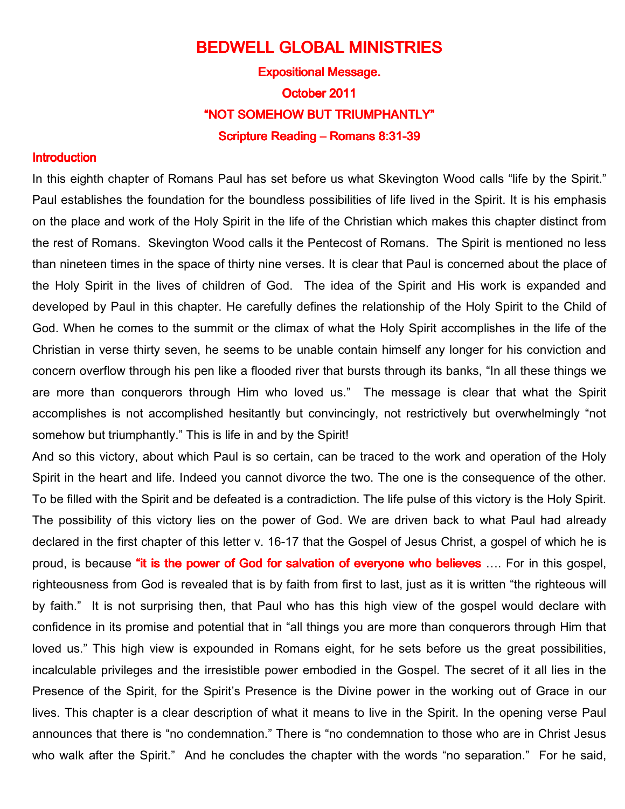## BEDWELL GLOBAL MINISTRIES **Expositional Message.** October 2011 "NOT SOMEHOW BUT TRIUMPHANTLY" Scripture Reading – Romans 8:31-39

## **Introduction**

In this eighth chapter of Romans Paul has set before us what Skevington Wood calls "life by the Spirit." Paul establishes the foundation for the boundless possibilities of life lived in the Spirit. It is his emphasis on the place and work of the Holy Spirit in the life of the Christian which makes this chapter distinct from the rest of Romans. Skevington Wood calls it the Pentecost of Romans. The Spirit is mentioned no less than nineteen times in the space of thirty nine verses. It is clear that Paul is concerned about the place of the Holy Spirit in the lives of children of God. The idea of the Spirit and His work is expanded and developed by Paul in this chapter. He carefully defines the relationship of the Holy Spirit to the Child of God. When he comes to the summit or the climax of what the Holy Spirit accomplishes in the life of the Christian in verse thirty seven, he seems to be unable contain himself any longer for his conviction and concern overflow through his pen like a flooded river that bursts through its banks, "In all these things we are more than conquerors through Him who loved us." The message is clear that what the Spirit accomplishes is not accomplished hesitantly but convincingly, not restrictively but overwhelmingly "not somehow but triumphantly." This is life in and by the Spirit!

And so this victory, about which Paul is so certain, can be traced to the work and operation of the Holy Spirit in the heart and life. Indeed you cannot divorce the two. The one is the consequence of the other. To be filled with the Spirit and be defeated is a contradiction. The life pulse of this victory is the Holy Spirit. The possibility of this victory lies on the power of God. We are driven back to what Paul had already declared in the first chapter of this letter v. 16-17 that the Gospel of Jesus Christ, a gospel of which he is proud, is because "it is the power of God for salvation of everyone who believes .... For in this gospel, righteousness from God is revealed that is by faith from first to last, just as it is written "the righteous will by faith." It is not surprising then, that Paul who has this high view of the gospel would declare with confidence in its promise and potential that in "all things you are more than conquerors through Him that loved us." This high view is expounded in Romans eight, for he sets before us the great possibilities, incalculable privileges and the irresistible power embodied in the Gospel. The secret of it all lies in the Presence of the Spirit, for the Spirit's Presence is the Divine power in the working out of Grace in our lives. This chapter is a clear description of what it means to live in the Spirit. In the opening verse Paul announces that there is "no condemnation." There is "no condemnation to those who are in Christ Jesus who walk after the Spirit." And he concludes the chapter with the words "no separation." For he said,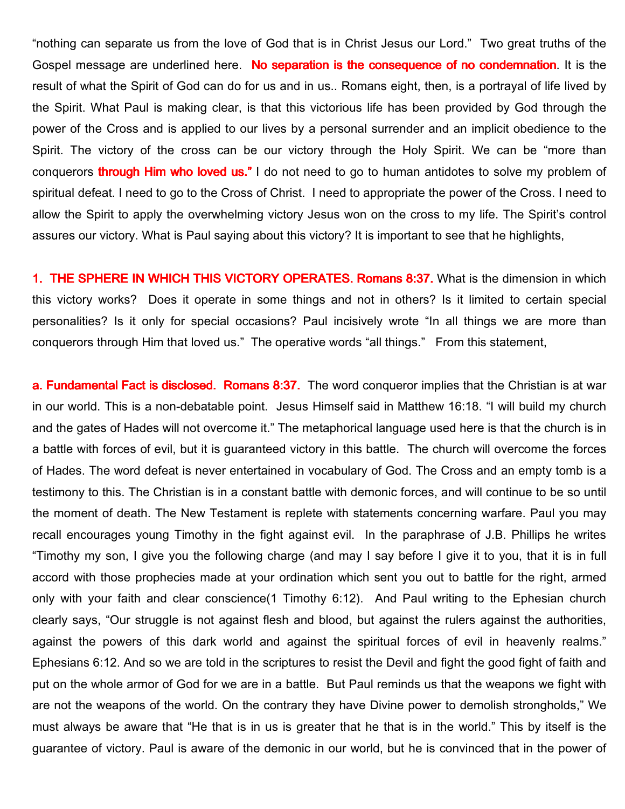"nothing can separate us from the love of God that is in Christ Jesus our Lord." Two great truths of the Gospel message are underlined here. No separation is the consequence of no condemnation. It is the result of what the Spirit of God can do for us and in us.. Romans eight, then, is a portrayal of life lived by the Spirit. What Paul is making clear, is that this victorious life has been provided by God through the power of the Cross and is applied to our lives by a personal surrender and an implicit obedience to the Spirit. The victory of the cross can be our victory through the Holy Spirit. We can be "more than conquerors **through Him who loved us."** I do not need to go to human antidotes to solve my problem of spiritual defeat. I need to go to the Cross of Christ. I need to appropriate the power of the Cross. I need to allow the Spirit to apply the overwhelming victory Jesus won on the cross to my life. The Spirit's control assures our victory. What is Paul saying about this victory? It is important to see that he highlights,

1. THE SPHERE IN WHICH THIS VICTORY OPERATES. Romans 8:37. What is the dimension in which this victory works? Does it operate in some things and not in others? Is it limited to certain special personalities? Is it only for special occasions? Paul incisively wrote "In all things we are more than conquerors through Him that loved us." The operative words "all things." From this statement,

a. Fundamental Fact is disclosed. Romans 8:37. The word conqueror implies that the Christian is at war in our world. This is a non-debatable point. Jesus Himself said in Matthew 16:18. "I will build my church and the gates of Hades will not overcome it." The metaphorical language used here is that the church is in a battle with forces of evil, but it is guaranteed victory in this battle. The church will overcome the forces of Hades. The word defeat is never entertained in vocabulary of God. The Cross and an empty tomb is a testimony to this. The Christian is in a constant battle with demonic forces, and will continue to be so until the moment of death. The New Testament is replete with statements concerning warfare. Paul you may recall encourages young Timothy in the fight against evil. In the paraphrase of J.B. Phillips he writes "Timothy my son, I give you the following charge (and may I say before I give it to you, that it is in full accord with those prophecies made at your ordination which sent you out to battle for the right, armed only with your faith and clear conscience(1 Timothy 6:12). And Paul writing to the Ephesian church clearly says, "Our struggle is not against flesh and blood, but against the rulers against the authorities, against the powers of this dark world and against the spiritual forces of evil in heavenly realms." Ephesians 6:12. And so we are told in the scriptures to resist the Devil and fight the good fight of faith and put on the whole armor of God for we are in a battle. But Paul reminds us that the weapons we fight with are not the weapons of the world. On the contrary they have Divine power to demolish strongholds," We must always be aware that "He that is in us is greater that he that is in the world." This by itself is the guarantee of victory. Paul is aware of the demonic in our world, but he is convinced that in the power of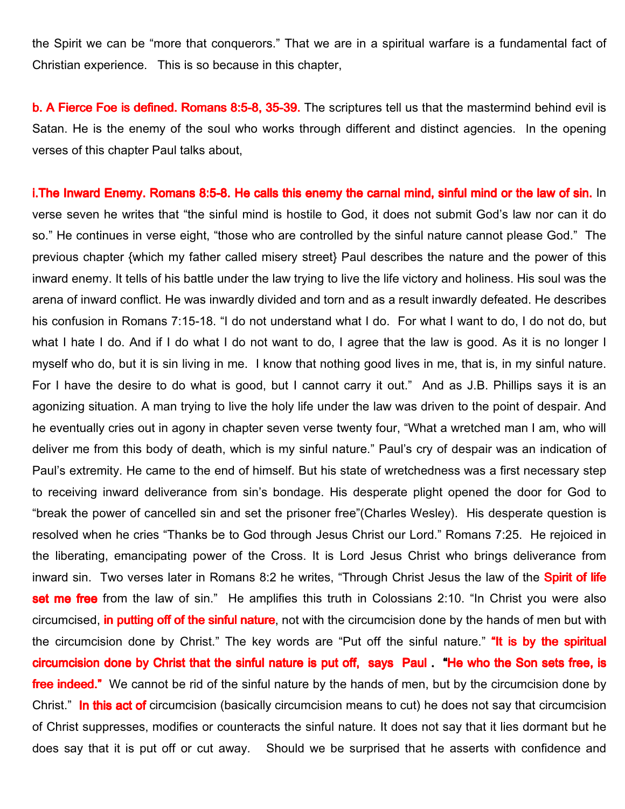the Spirit we can be "more that conquerors." That we are in a spiritual warfare is a fundamental fact of Christian experience. This is so because in this chapter,

b. A Fierce Foe is defined. Romans 8:5-8, 35-39. The scriptures tell us that the mastermind behind evil is Satan. He is the enemy of the soul who works through different and distinct agencies. In the opening verses of this chapter Paul talks about,

i.The Inward Enemy. Romans 8:5-8. He calls this enemy the carnal mind, sinful mind or the law of sin. In verse seven he writes that "the sinful mind is hostile to God, it does not submit God's law nor can it do so." He continues in verse eight, "those who are controlled by the sinful nature cannot please God." The previous chapter {which my father called misery street} Paul describes the nature and the power of this inward enemy. It tells of his battle under the law trying to live the life victory and holiness. His soul was the arena of inward conflict. He was inwardly divided and torn and as a result inwardly defeated. He describes his confusion in Romans 7:15-18. "I do not understand what I do. For what I want to do, I do not do, but what I hate I do. And if I do what I do not want to do, I agree that the law is good. As it is no longer I myself who do, but it is sin living in me. I know that nothing good lives in me, that is, in my sinful nature. For I have the desire to do what is good, but I cannot carry it out." And as J.B. Phillips says it is an agonizing situation. A man trying to live the holy life under the law was driven to the point of despair. And he eventually cries out in agony in chapter seven verse twenty four, "What a wretched man I am, who will deliver me from this body of death, which is my sinful nature." Paul's cry of despair was an indication of Paul's extremity. He came to the end of himself. But his state of wretchedness was a first necessary step to receiving inward deliverance from sin's bondage. His desperate plight opened the door for God to "break the power of cancelled sin and set the prisoner free"(Charles Wesley). His desperate question is resolved when he cries "Thanks be to God through Jesus Christ our Lord." Romans 7:25. He rejoiced in the liberating, emancipating power of the Cross. It is Lord Jesus Christ who brings deliverance from inward sin. Two verses later in Romans 8:2 he writes, "Through Christ Jesus the law of the Spirit of life set me free from the law of sin." He amplifies this truth in Colossians 2:10. "In Christ you were also circumcised, in putting off of the sinful nature, not with the circumcision done by the hands of men but with the circumcision done by Christ." The key words are "Put off the sinful nature." "It is by the spiritual circumcision done by Christ that the sinful nature is put off, says Paul. "He who the Son sets free, is **free indeed."** We cannot be rid of the sinful nature by the hands of men, but by the circumcision done by Christ." In this act of circumcision (basically circumcision means to cut) he does not say that circumcision of Christ suppresses, modifies or counteracts the sinful nature. It does not say that it lies dormant but he does say that it is put off or cut away. Should we be surprised that he asserts with confidence and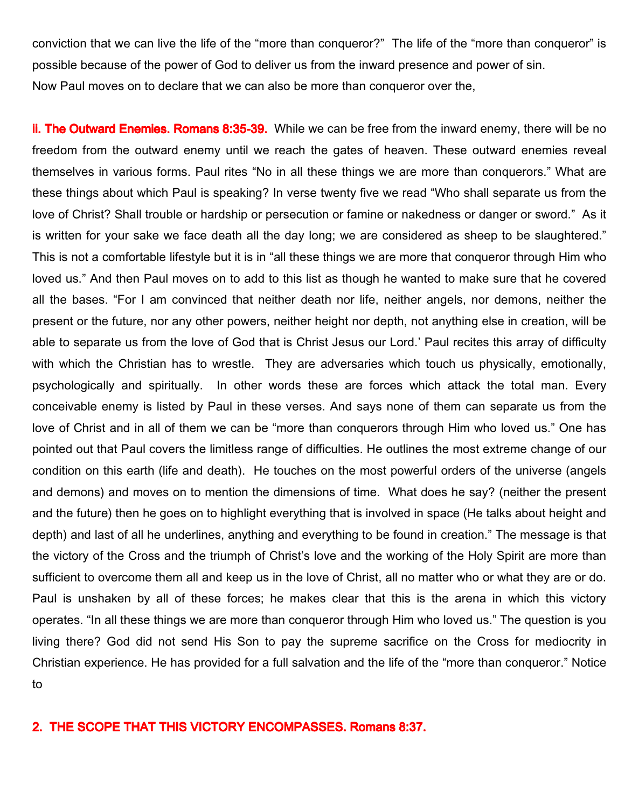conviction that we can live the life of the "more than conqueror?" The life of the "more than conqueror" is possible because of the power of God to deliver us from the inward presence and power of sin. Now Paul moves on to declare that we can also be more than conqueror over the,

ii. The Outward Enemies. Romans 8:35-39. While we can be free from the inward enemy, there will be no freedom from the outward enemy until we reach the gates of heaven. These outward enemies reveal themselves in various forms. Paul rites "No in all these things we are more than conquerors." What are these things about which Paul is speaking? In verse twenty five we read "Who shall separate us from the love of Christ? Shall trouble or hardship or persecution or famine or nakedness or danger or sword." As it is written for your sake we face death all the day long; we are considered as sheep to be slaughtered." This is not a comfortable lifestyle but it is in "all these things we are more that conqueror through Him who loved us." And then Paul moves on to add to this list as though he wanted to make sure that he covered all the bases. "For I am convinced that neither death nor life, neither angels, nor demons, neither the present or the future, nor any other powers, neither height nor depth, not anything else in creation, will be able to separate us from the love of God that is Christ Jesus our Lord.' Paul recites this array of difficulty with which the Christian has to wrestle. They are adversaries which touch us physically, emotionally, psychologically and spiritually. In other words these are forces which attack the total man. Every conceivable enemy is listed by Paul in these verses. And says none of them can separate us from the love of Christ and in all of them we can be "more than conquerors through Him who loved us." One has pointed out that Paul covers the limitless range of difficulties. He outlines the most extreme change of our condition on this earth (life and death). He touches on the most powerful orders of the universe (angels and demons) and moves on to mention the dimensions of time. What does he say? (neither the present and the future) then he goes on to highlight everything that is involved in space (He talks about height and depth) and last of all he underlines, anything and everything to be found in creation." The message is that the victory of the Cross and the triumph of Christ's love and the working of the Holy Spirit are more than sufficient to overcome them all and keep us in the love of Christ, all no matter who or what they are or do. Paul is unshaken by all of these forces; he makes clear that this is the arena in which this victory operates. "In all these things we are more than conqueror through Him who loved us." The question is you living there? God did not send His Son to pay the supreme sacrifice on the Cross for mediocrity in Christian experience. He has provided for a full salvation and the life of the "more than conqueror." Notice to

## 2. THE SCOPE THAT THIS VICTORY ENCOMPASSES. Romans 8:37.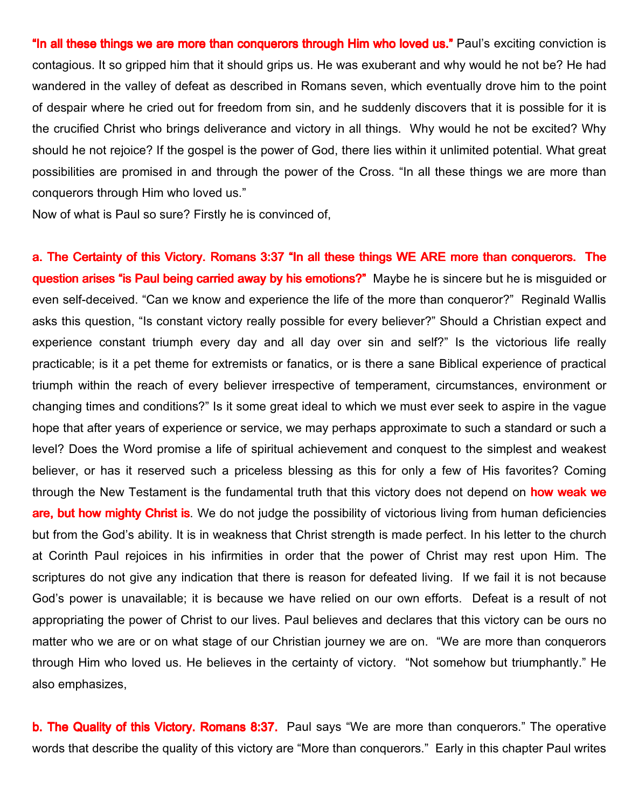"In all these things we are more than conquerors through Him who loved us." Paul's exciting conviction is contagious. It so gripped him that it should grips us. He was exuberant and why would he not be? He had wandered in the valley of defeat as described in Romans seven, which eventually drove him to the point of despair where he cried out for freedom from sin, and he suddenly discovers that it is possible for it is the crucified Christ who brings deliverance and victory in all things. Why would he not be excited? Why should he not rejoice? If the gospel is the power of God, there lies within it unlimited potential. What great possibilities are promised in and through the power of the Cross. "In all these things we are more than conquerors through Him who loved us."

Now of what is Paul so sure? Firstly he is convinced of,

a. The Certainty of this Victory. Romans 3:37 "In all these things WE ARE more than conquerors. The question arises "is Paul being carried away by his emotions?" Maybe he is sincere but he is misguided or even self-deceived. "Can we know and experience the life of the more than conqueror?" Reginald Wallis asks this question, "Is constant victory really possible for every believer?" Should a Christian expect and experience constant triumph every day and all day over sin and self?" Is the victorious life really practicable; is it a pet theme for extremists or fanatics, or is there a sane Biblical experience of practical triumph within the reach of every believer irrespective of temperament, circumstances, environment or changing times and conditions?" Is it some great ideal to which we must ever seek to aspire in the vague hope that after years of experience or service, we may perhaps approximate to such a standard or such a level? Does the Word promise a life of spiritual achievement and conquest to the simplest and weakest believer, or has it reserved such a priceless blessing as this for only a few of His favorites? Coming through the New Testament is the fundamental truth that this victory does not depend on **how weak we** are, but how mighty Christ is. We do not judge the possibility of victorious living from human deficiencies but from the God's ability. It is in weakness that Christ strength is made perfect. In his letter to the church at Corinth Paul rejoices in his infirmities in order that the power of Christ may rest upon Him. The scriptures do not give any indication that there is reason for defeated living. If we fail it is not because God's power is unavailable; it is because we have relied on our own efforts. Defeat is a result of not appropriating the power of Christ to our lives. Paul believes and declares that this victory can be ours no matter who we are or on what stage of our Christian journey we are on. "We are more than conquerors through Him who loved us. He believes in the certainty of victory. "Not somehow but triumphantly." He also emphasizes,

**b. The Quality of this Victory. Romans 8:37.** Paul says "We are more than conquerors." The operative words that describe the quality of this victory are "More than conquerors." Early in this chapter Paul writes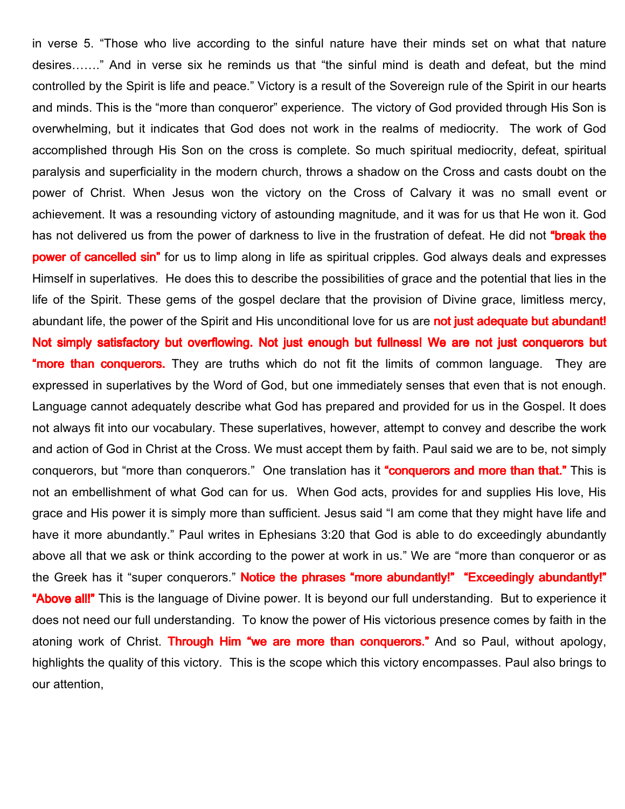in verse 5. "Those who live according to the sinful nature have their minds set on what that nature desires……." And in verse six he reminds us that "the sinful mind is death and defeat, but the mind controlled by the Spirit is life and peace." Victory is a result of the Sovereign rule of the Spirit in our hearts and minds. This is the "more than conqueror" experience. The victory of God provided through His Son is overwhelming, but it indicates that God does not work in the realms of mediocrity. The work of God accomplished through His Son on the cross is complete. So much spiritual mediocrity, defeat, spiritual paralysis and superficiality in the modern church, throws a shadow on the Cross and casts doubt on the power of Christ. When Jesus won the victory on the Cross of Calvary it was no small event or achievement. It was a resounding victory of astounding magnitude, and it was for us that He won it. God has not delivered us from the power of darkness to live in the frustration of defeat. He did not "break the power of cancelled sin" for us to limp along in life as spiritual cripples. God always deals and expresses Himself in superlatives. He does this to describe the possibilities of grace and the potential that lies in the life of the Spirit. These gems of the gospel declare that the provision of Divine grace, limitless mercy, abundant life, the power of the Spirit and His unconditional love for us are **not just adequate but abundant!** Not simply satisfactory but overflowing. Not just enough but fullness! We are not just conquerors but **"more than conquerors.** They are truths which do not fit the limits of common language. They are expressed in superlatives by the Word of God, but one immediately senses that even that is not enough. Language cannot adequately describe what God has prepared and provided for us in the Gospel. It does not always fit into our vocabulary. These superlatives, however, attempt to convey and describe the work and action of God in Christ at the Cross. We must accept them by faith. Paul said we are to be, not simply conquerors, but "more than conquerors." One translation has it "conquerors and more than that." This is not an embellishment of what God can for us. When God acts, provides for and supplies His love, His grace and His power it is simply more than sufficient. Jesus said "I am come that they might have life and have it more abundantly." Paul writes in Ephesians 3:20 that God is able to do exceedingly abundantly above all that we ask or think according to the power at work in us." We are "more than conqueror or as the Greek has it "super conquerors." **Notice the phrases "more abundantly!" "Exceedingly abundantly!"** "Above all!" This is the language of Divine power. It is beyond our full understanding. But to experience it does not need our full understanding. To know the power of His victorious presence comes by faith in the atoning work of Christ. Through Him "we are more than conquerors." And so Paul, without apology, highlights the quality of this victory. This is the scope which this victory encompasses. Paul also brings to our attention,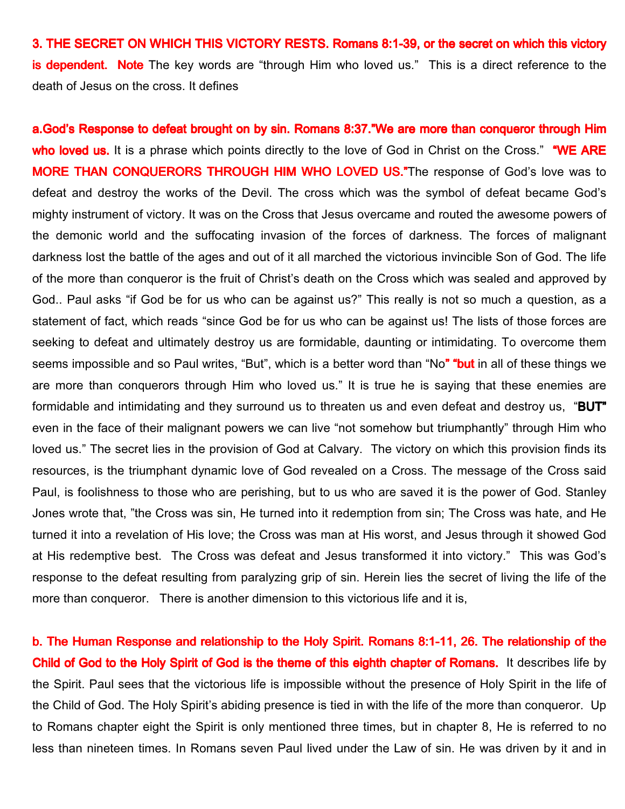3. THE SECRET ON WHICH THIS VICTORY RESTS. Romans 8:1-39, or the secret on which this victory **is dependent. Note** The key words are "through Him who loved us." This is a direct reference to the death of Jesus on the cross. It defines

a.God's Response to defeat brought on by sin. Romans 8:37."We are more than conqueror through Him who loved us. It is a phrase which points directly to the love of God in Christ on the Cross." "WE ARE MORE THAN CONQUERORS THROUGH HIM WHO LOVED US."The response of God's love was to defeat and destroy the works of the Devil. The cross which was the symbol of defeat became God's mighty instrument of victory. It was on the Cross that Jesus overcame and routed the awesome powers of the demonic world and the suffocating invasion of the forces of darkness. The forces of malignant darkness lost the battle of the ages and out of it all marched the victorious invincible Son of God. The life of the more than conqueror is the fruit of Christ's death on the Cross which was sealed and approved by God.. Paul asks "if God be for us who can be against us?" This really is not so much a question, as a statement of fact, which reads "since God be for us who can be against us! The lists of those forces are seeking to defeat and ultimately destroy us are formidable, daunting or intimidating. To overcome them seems impossible and so Paul writes, "But", which is a better word than "No" "but in all of these things we are more than conquerors through Him who loved us." It is true he is saying that these enemies are formidable and intimidating and they surround us to threaten us and even defeat and destroy us, "BUT" even in the face of their malignant powers we can live "not somehow but triumphantly" through Him who loved us." The secret lies in the provision of God at Calvary. The victory on which this provision finds its resources, is the triumphant dynamic love of God revealed on a Cross. The message of the Cross said Paul, is foolishness to those who are perishing, but to us who are saved it is the power of God. Stanley Jones wrote that, "the Cross was sin, He turned into it redemption from sin; The Cross was hate, and He turned it into a revelation of His love; the Cross was man at His worst, and Jesus through it showed God at His redemptive best. The Cross was defeat and Jesus transformed it into victory." This was God's response to the defeat resulting from paralyzing grip of sin. Herein lies the secret of living the life of the more than conqueror. There is another dimension to this victorious life and it is,

b. The Human Response and relationship to the Holy Spirit. Romans 8:1-11, 26. The relationship of the Child of God to the Holy Spirit of God is the theme of this eighth chapter of Romans. It describes life by the Spirit. Paul sees that the victorious life is impossible without the presence of Holy Spirit in the life of the Child of God. The Holy Spirit's abiding presence is tied in with the life of the more than conqueror. Up to Romans chapter eight the Spirit is only mentioned three times, but in chapter 8, He is referred to no less than nineteen times. In Romans seven Paul lived under the Law of sin. He was driven by it and in